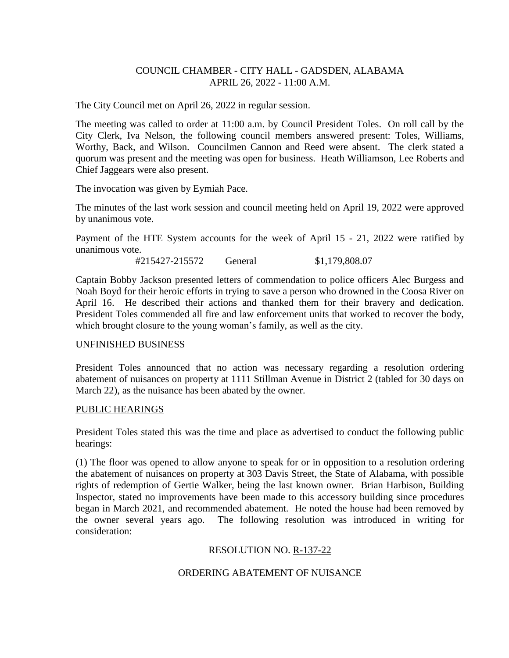## COUNCIL CHAMBER - CITY HALL - GADSDEN, ALABAMA APRIL 26, 2022 - 11:00 A.M.

The City Council met on April 26, 2022 in regular session.

The meeting was called to order at 11:00 a.m. by Council President Toles. On roll call by the City Clerk, Iva Nelson, the following council members answered present: Toles, Williams, Worthy, Back, and Wilson. Councilmen Cannon and Reed were absent. The clerk stated a quorum was present and the meeting was open for business. Heath Williamson, Lee Roberts and Chief Jaggears were also present.

The invocation was given by Eymiah Pace.

The minutes of the last work session and council meeting held on April 19, 2022 were approved by unanimous vote.

Payment of the HTE System accounts for the week of April 15 - 21, 2022 were ratified by unanimous vote.

#215427-215572 General \$1,179,808.07

Captain Bobby Jackson presented letters of commendation to police officers Alec Burgess and Noah Boyd for their heroic efforts in trying to save a person who drowned in the Coosa River on April 16. He described their actions and thanked them for their bravery and dedication. President Toles commended all fire and law enforcement units that worked to recover the body, which brought closure to the young woman's family, as well as the city.

## UNFINISHED BUSINESS

President Toles announced that no action was necessary regarding a resolution ordering abatement of nuisances on property at 1111 Stillman Avenue in District 2 (tabled for 30 days on March 22), as the nuisance has been abated by the owner.

## PUBLIC HEARINGS

President Toles stated this was the time and place as advertised to conduct the following public hearings:

(1) The floor was opened to allow anyone to speak for or in opposition to a resolution ordering the abatement of nuisances on property at 303 Davis Street, the State of Alabama, with possible rights of redemption of Gertie Walker, being the last known owner. Brian Harbison, Building Inspector, stated no improvements have been made to this accessory building since procedures began in March 2021, and recommended abatement. He noted the house had been removed by the owner several years ago. The following resolution was introduced in writing for consideration:

# RESOLUTION NO. R-137-22

# ORDERING ABATEMENT OF NUISANCE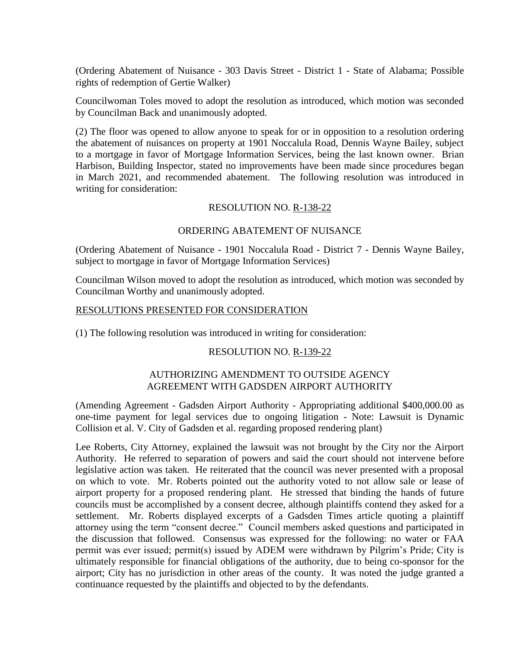(Ordering Abatement of Nuisance - 303 Davis Street - District 1 - State of Alabama; Possible rights of redemption of Gertie Walker)

Councilwoman Toles moved to adopt the resolution as introduced, which motion was seconded by Councilman Back and unanimously adopted.

(2) The floor was opened to allow anyone to speak for or in opposition to a resolution ordering the abatement of nuisances on property at 1901 Noccalula Road, Dennis Wayne Bailey, subject to a mortgage in favor of Mortgage Information Services, being the last known owner. Brian Harbison, Building Inspector, stated no improvements have been made since procedures began in March 2021, and recommended abatement. The following resolution was introduced in writing for consideration:

## RESOLUTION NO. R-138-22

## ORDERING ABATEMENT OF NUISANCE

(Ordering Abatement of Nuisance - 1901 Noccalula Road - District 7 - Dennis Wayne Bailey, subject to mortgage in favor of Mortgage Information Services)

Councilman Wilson moved to adopt the resolution as introduced, which motion was seconded by Councilman Worthy and unanimously adopted.

#### RESOLUTIONS PRESENTED FOR CONSIDERATION

(1) The following resolution was introduced in writing for consideration:

## RESOLUTION NO. R-139-22

## AUTHORIZING AMENDMENT TO OUTSIDE AGENCY AGREEMENT WITH GADSDEN AIRPORT AUTHORITY

(Amending Agreement - Gadsden Airport Authority - Appropriating additional \$400,000.00 as one-time payment for legal services due to ongoing litigation - Note: Lawsuit is Dynamic Collision et al. V. City of Gadsden et al. regarding proposed rendering plant)

Lee Roberts, City Attorney, explained the lawsuit was not brought by the City nor the Airport Authority. He referred to separation of powers and said the court should not intervene before legislative action was taken. He reiterated that the council was never presented with a proposal on which to vote. Mr. Roberts pointed out the authority voted to not allow sale or lease of airport property for a proposed rendering plant. He stressed that binding the hands of future councils must be accomplished by a consent decree, although plaintiffs contend they asked for a settlement. Mr. Roberts displayed excerpts of a Gadsden Times article quoting a plaintiff attorney using the term "consent decree." Council members asked questions and participated in the discussion that followed. Consensus was expressed for the following: no water or FAA permit was ever issued; permit(s) issued by ADEM were withdrawn by Pilgrim's Pride; City is ultimately responsible for financial obligations of the authority, due to being co-sponsor for the airport; City has no jurisdiction in other areas of the county. It was noted the judge granted a continuance requested by the plaintiffs and objected to by the defendants.